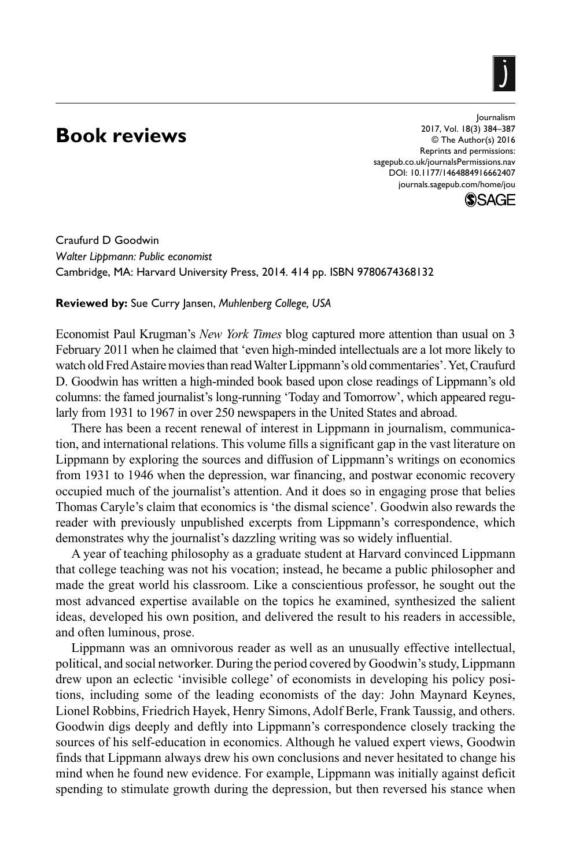## **Book reviews**

https://doi.org/10.1177/1464884916662407 DOI: 10.1177/1464884916662407 Journalism 2017, Vol. 18(3) 384–387 © The Author(s) 2016 Reprints and permissions: [sagepub.co.uk/journalsPermissions.nav](https://uk.sagepub.com/en-gb/journals-permissions) [journals.sagepub.com/home/jou](https://journals.sagepub.com/home/jou)



Craufurd D Goodwin *Walter Lippmann: Public economist* Cambridge, MA: Harvard University Press, 2014. 414 pp. ISBN 9780674368132

**Reviewed by:** Sue Curry Jansen, *Muhlenberg College, USA*

Economist Paul Krugman's *New York Times* blog captured more attention than usual on 3 February 2011 when he claimed that 'even high-minded intellectuals are a lot more likely to watch old Fred Astaire movies than read Walter Lippmann's old commentaries'. Yet, Craufurd D. Goodwin has written a high-minded book based upon close readings of Lippmann's old columns: the famed journalist's long-running 'Today and Tomorrow', which appeared regularly from 1931 to 1967 in over 250 newspapers in the United States and abroad.

There has been a recent renewal of interest in Lippmann in journalism, communication, and international relations. This volume fills a significant gap in the vast literature on Lippmann by exploring the sources and diffusion of Lippmann's writings on economics from 1931 to 1946 when the depression, war financing, and postwar economic recovery occupied much of the journalist's attention. And it does so in engaging prose that belies Thomas Caryle's claim that economics is 'the dismal science'. Goodwin also rewards the reader with previously unpublished excerpts from Lippmann's correspondence, which demonstrates why the journalist's dazzling writing was so widely influential.

A year of teaching philosophy as a graduate student at Harvard convinced Lippmann that college teaching was not his vocation; instead, he became a public philosopher and made the great world his classroom. Like a conscientious professor, he sought out the most advanced expertise available on the topics he examined, synthesized the salient ideas, developed his own position, and delivered the result to his readers in accessible, and often luminous, prose.

Lippmann was an omnivorous reader as well as an unusually effective intellectual, political, and social networker. During the period covered by Goodwin's study, Lippmann drew upon an eclectic 'invisible college' of economists in developing his policy positions, including some of the leading economists of the day: John Maynard Keynes, Lionel Robbins, Friedrich Hayek, Henry Simons, Adolf Berle, Frank Taussig, and others. Goodwin digs deeply and deftly into Lippmann's correspondence closely tracking the sources of his self-education in economics. Although he valued expert views, Goodwin finds that Lippmann always drew his own conclusions and never hesitated to change his mind when he found new evidence. For example, Lippmann was initially against deficit spending to stimulate growth during the depression, but then reversed his stance when